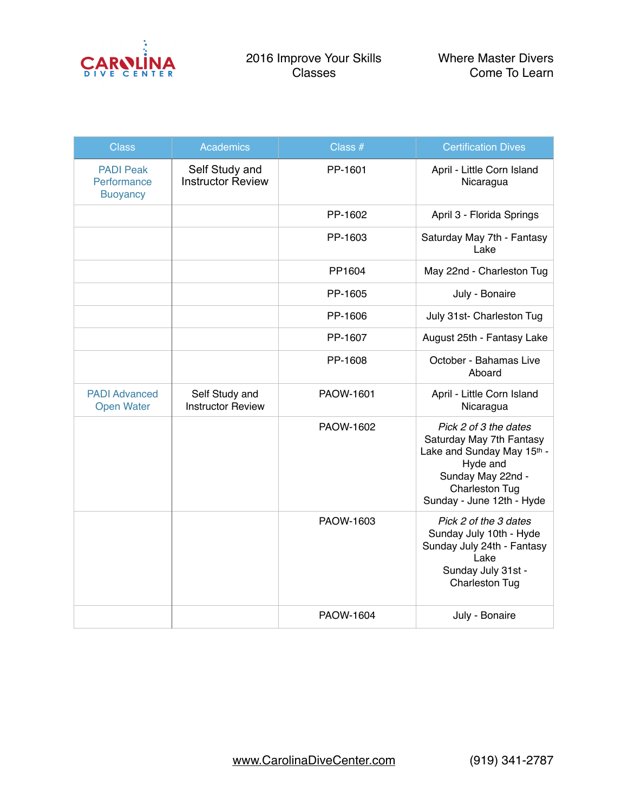

| <b>Class</b>                                       | <b>Academics</b>                           | Class #   | <b>Certification Dives</b>                                                                                                                                             |
|----------------------------------------------------|--------------------------------------------|-----------|------------------------------------------------------------------------------------------------------------------------------------------------------------------------|
| <b>PADI Peak</b><br>Performance<br><b>Buoyancy</b> | Self Study and<br><b>Instructor Review</b> | PP-1601   | April - Little Corn Island<br>Nicaragua                                                                                                                                |
|                                                    |                                            | PP-1602   | April 3 - Florida Springs                                                                                                                                              |
|                                                    |                                            | PP-1603   | Saturday May 7th - Fantasy<br>Lake                                                                                                                                     |
|                                                    |                                            | PP1604    | May 22nd - Charleston Tug                                                                                                                                              |
|                                                    |                                            | PP-1605   | July - Bonaire                                                                                                                                                         |
|                                                    |                                            | PP-1606   | July 31st- Charleston Tug                                                                                                                                              |
|                                                    |                                            | PP-1607   | August 25th - Fantasy Lake                                                                                                                                             |
|                                                    |                                            | PP-1608   | October - Bahamas Live<br>Aboard                                                                                                                                       |
| <b>PADI Advanced</b><br><b>Open Water</b>          | Self Study and<br><b>Instructor Review</b> | PAOW-1601 | April - Little Corn Island<br>Nicaragua                                                                                                                                |
|                                                    |                                            | PAOW-1602 | Pick 2 of 3 the dates<br>Saturday May 7th Fantasy<br>Lake and Sunday May 15th -<br>Hyde and<br>Sunday May 22nd -<br><b>Charleston Tug</b><br>Sunday - June 12th - Hyde |
|                                                    |                                            | PAOW-1603 | Pick 2 of the 3 dates<br>Sunday July 10th - Hyde<br>Sunday July 24th - Fantasy<br>Lake<br>Sunday July 31st -<br><b>Charleston Tug</b>                                  |
|                                                    |                                            | PAOW-1604 | July - Bonaire                                                                                                                                                         |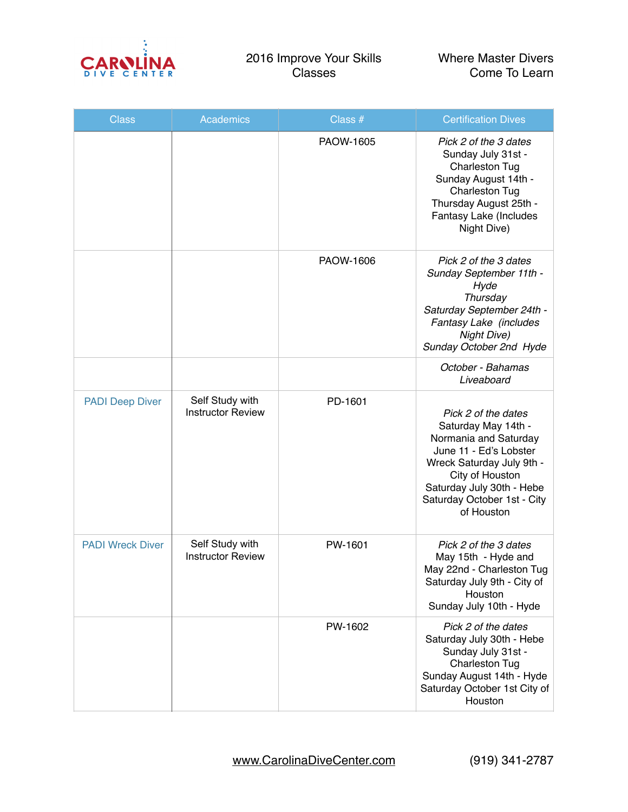

| <b>Class</b>            | <b>Academics</b>                            | Class #   | <b>Certification Dives</b>                                                                                                                                                                                              |
|-------------------------|---------------------------------------------|-----------|-------------------------------------------------------------------------------------------------------------------------------------------------------------------------------------------------------------------------|
|                         |                                             | PAOW-1605 | Pick 2 of the 3 dates<br>Sunday July 31st -<br><b>Charleston Tug</b><br>Sunday August 14th -<br><b>Charleston Tug</b><br>Thursday August 25th -<br>Fantasy Lake (Includes<br>Night Dive)                                |
|                         |                                             | PAOW-1606 | Pick 2 of the 3 dates<br>Sunday September 11th -<br>Hyde<br>Thursday<br>Saturday September 24th -<br>Fantasy Lake (includes<br><b>Night Dive)</b><br>Sunday October 2nd Hyde                                            |
|                         |                                             |           | October - Bahamas<br>Liveaboard                                                                                                                                                                                         |
| <b>PADI Deep Diver</b>  | Self Study with<br><b>Instructor Review</b> | PD-1601   | Pick 2 of the dates<br>Saturday May 14th -<br>Normania and Saturday<br>June 11 - Ed's Lobster<br>Wreck Saturday July 9th -<br>City of Houston<br>Saturday July 30th - Hebe<br>Saturday October 1st - City<br>of Houston |
| <b>PADI Wreck Diver</b> | Self Study with<br><b>Instructor Review</b> | PW-1601   | Pick 2 of the 3 dates<br>May 15th - Hyde and<br>May 22nd - Charleston Tug<br>Saturday July 9th - City of<br>Houston<br>Sunday July 10th - Hyde                                                                          |
|                         |                                             | PW-1602   | Pick 2 of the dates<br>Saturday July 30th - Hebe<br>Sunday July 31st -<br><b>Charleston Tug</b><br>Sunday August 14th - Hyde<br>Saturday October 1st City of<br>Houston                                                 |